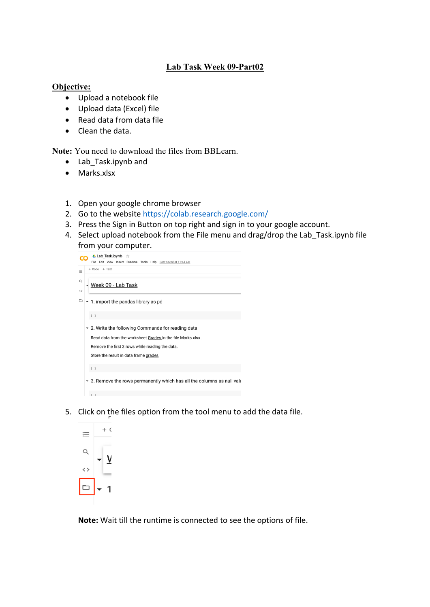## **Lab Task Week 09-Part02**

## **Objective:**

- Upload a notebook file
- Upload data (Excel) file
- Read data from data file
- Clean the data.

**Note:** You need to download the files from BBLearn.

- Lab\_Task.ipynb and
- Marks.xlsx
- 1. Open your google chrome browser
- 2. Go to the website https://colab.research.google.com/
- 3. Press the Sign in Button on top right and sign in to your google account.
- 4. Select upload notebook from the File menu and drag/drop the Lab Task.ipynb file from your computer.



5. Click on the files option from the tool menu to add the data file.



**Note:** Wait till the runtime is connected to see the options of file.